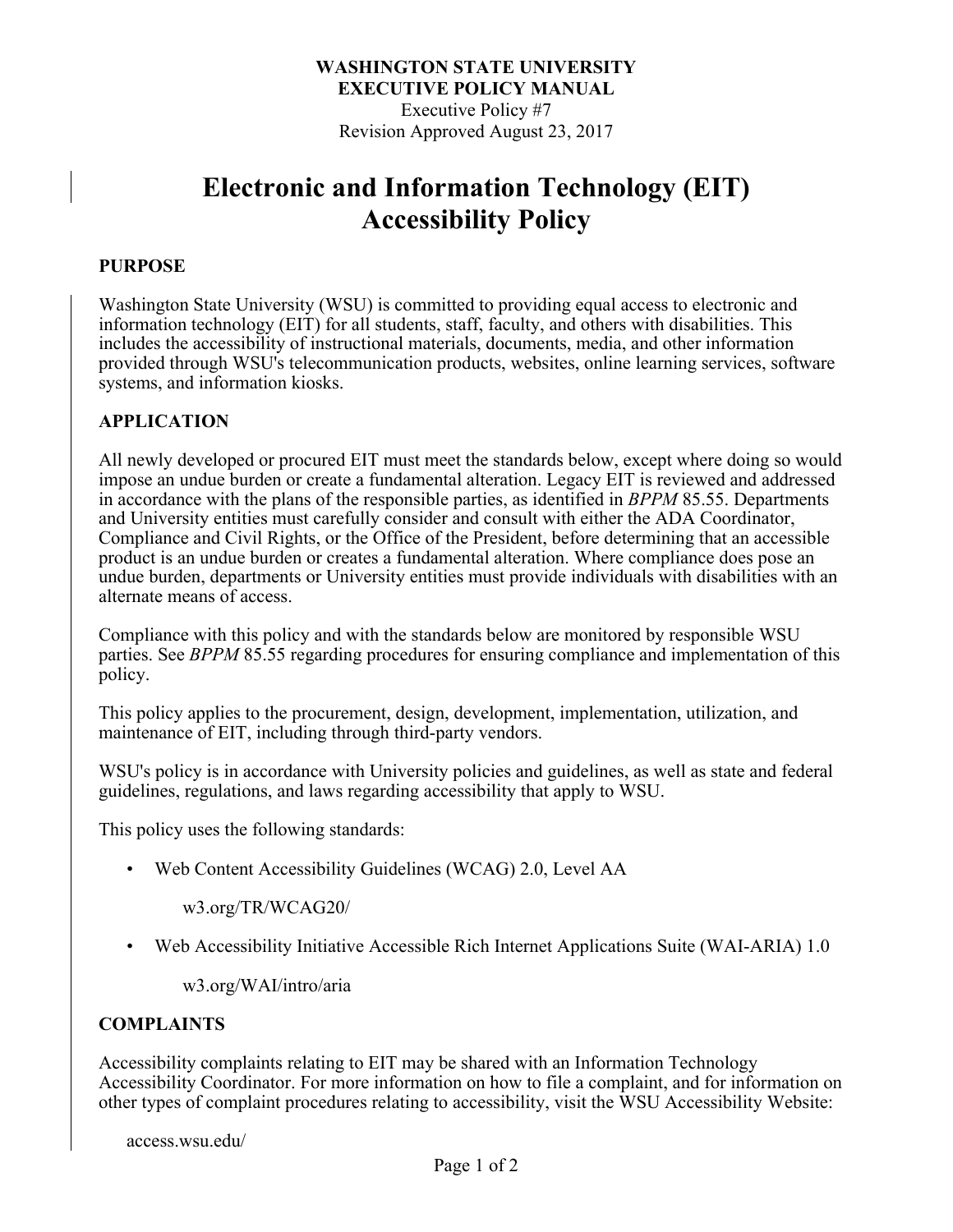### **WASHINGTON STATE UNIVERSITY EXECUTIVE POLICY MANUAL** Executive Policy #7 Revision Approved August 23, 2017

# **Electronic and Information Technology (EIT) Accessibility Policy**

#### **PURPOSE**

Washington State University (WSU) is committed to providing equal access to electronic and information technology (EIT) for all students, staff, faculty, and others with disabilities. This includes the accessibility of instructional materials, documents, media, and other information provided through WSU's telecommunication products, websites, online learning services, software systems, and information kiosks.

#### **APPLICATION**

All newly developed or procured EIT must meet the standards below, except where doing so would impose an undue burden or create a fundamental alteration. Legacy EIT is reviewed and addressed in accordance with the plans of the responsible parties, as identified in *BPPM* 85.55. Departments and University entities must carefully consider and consult with either the ADA Coordinator, Compliance and Civil Rights, or the Office of the President, before determining that an accessible product is an undue burden or creates a fundamental alteration. Where compliance does pose an undue burden, departments or University entities must provide individuals with disabilities with an alternate means of access.

Compliance with this policy and with the standards below are monitored by responsible WSU parties. See *BPPM* 85.55 regarding procedures for ensuring compliance and implementation of this policy.

This policy applies to the procurement, design, development, implementation, utilization, and maintenance of EIT, including through third-party vendors.

WSU's policy is in accordance with University policies and guidelines, as well as state and federal guidelines, regulations, and laws regarding accessibility that apply to WSU.

This policy uses the following standards:

• Web Content Accessibility Guidelines (WCAG) 2.0, Level AA

w3.org/TR/WCAG20/

• Web Accessibility Initiative Accessible Rich Internet Applications Suite (WAI-ARIA) 1.0

w3.org/WAI/intro/aria

#### **COMPLAINTS**

Accessibility complaints relating to EIT may be shared with an Information Technology Accessibility Coordinator. For more information on how to file a complaint, and for information on other types of complaint procedures relating to accessibility, visit the WSU Accessibility Website:

access.wsu.edu/